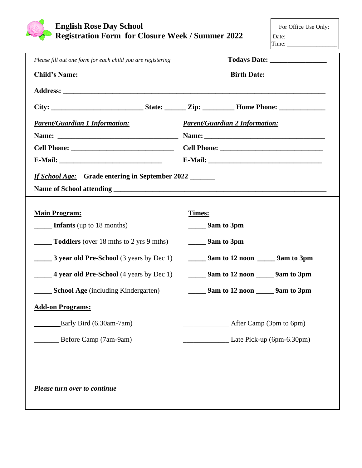

| Please fill out one form for each child you are registering                                                                                                                                                                                                                       |                                                        |  |  |  |
|-----------------------------------------------------------------------------------------------------------------------------------------------------------------------------------------------------------------------------------------------------------------------------------|--------------------------------------------------------|--|--|--|
|                                                                                                                                                                                                                                                                                   |                                                        |  |  |  |
|                                                                                                                                                                                                                                                                                   |                                                        |  |  |  |
|                                                                                                                                                                                                                                                                                   |                                                        |  |  |  |
| <b>Parent/Guardian 1 Information:</b>                                                                                                                                                                                                                                             | <b>Parent/Guardian 2 Information:</b>                  |  |  |  |
|                                                                                                                                                                                                                                                                                   |                                                        |  |  |  |
|                                                                                                                                                                                                                                                                                   |                                                        |  |  |  |
|                                                                                                                                                                                                                                                                                   |                                                        |  |  |  |
| If School Age: Grade entering in September 2022<br>Name of School attending the contract of the contract of the contract of the contract of the contract of the contract of the contract of the contract of the contract of the contract of the contract of the contract of the c |                                                        |  |  |  |
| <b>Main Program:</b>                                                                                                                                                                                                                                                              | Times:                                                 |  |  |  |
| $\frac{1}{2}$ Infants (up to 18 months)                                                                                                                                                                                                                                           | $\frac{1}{2}$ 9am to 3pm                               |  |  |  |
| $\frac{1}{2}$ Toddlers (over 18 mths to 2 yrs 9 mths)                                                                                                                                                                                                                             | $\frac{1}{2}$ 9 m to 3 pm                              |  |  |  |
| 3 year old Pre-School (3 years by Dec 1)                                                                                                                                                                                                                                          | $\frac{1}{2}$ 9am to 12 noon $\frac{1}{2}$ 9am to 3pm  |  |  |  |
| <b>4 year old Pre-School</b> (4 years by Dec 1)                                                                                                                                                                                                                                   | $\frac{1}{2}$ 9 m to 12 noon $\frac{1}{2}$ 9 m to 3 pm |  |  |  |
| <b>School Age</b> (including Kindergarten)                                                                                                                                                                                                                                        | $\frac{1}{2}$ 9am to 12 noon $\frac{1}{2}$ 9am to 3pm  |  |  |  |
| <b>Add-on Programs:</b>                                                                                                                                                                                                                                                           |                                                        |  |  |  |
| Early Bird (6.30am-7am)                                                                                                                                                                                                                                                           | After Camp (3pm to 6pm)                                |  |  |  |
| Before Camp (7am-9am)                                                                                                                                                                                                                                                             | Late Pick-up (6pm-6.30pm)                              |  |  |  |
|                                                                                                                                                                                                                                                                                   |                                                        |  |  |  |
| Please turn over to continue                                                                                                                                                                                                                                                      |                                                        |  |  |  |